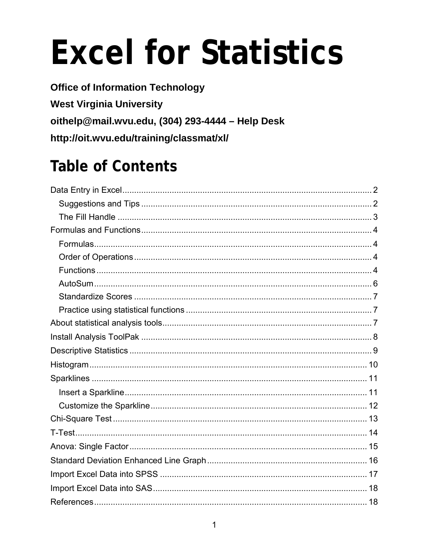# **Excel for Statistics**

**Office of Information Technology West Virginia University** oithelp@mail.wvu.edu, (304) 293-4444 - Help Desk http://oit.wvu.edu/training/classmat/xl/

# **Table of Contents**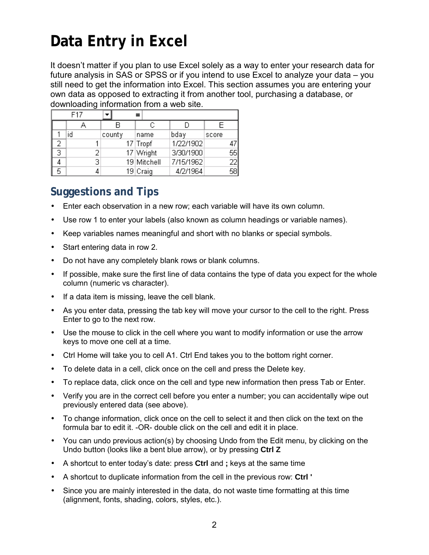# <span id="page-1-0"></span>**Data Entry in Excel**

It doesn't matter if you plan to use Excel solely as a way to enter your research data for future analysis in SAS or SPSS or if you intend to use Excel to analyze your data – you still need to get the information into Excel. This section assumes you are entering your own data as opposed to extracting it from another tool, purchasing a database, or downloading information from a web site.

|   | F <sub>17</sub> |   |        |  |             |           |       |    |
|---|-----------------|---|--------|--|-------------|-----------|-------|----|
|   |                 |   |        |  | С           |           | F     |    |
|   | id              |   | county |  | name        | bday      | score |    |
|   |                 |   |        |  | 17 Tropf    | 1/22/1902 |       | 47 |
| З |                 |   |        |  | 17 Wright   | 3/30/1900 |       | 55 |
|   |                 | з |        |  | 19 Mitchell | 7/15/1962 |       | 22 |
| 5 |                 |   |        |  | 19 Craig    | 4/2/1964  |       | 58 |

### <span id="page-1-1"></span>**Suggestions and Tips**

- Enter each observation in a new row; each variable will have its own column.
- Use row 1 to enter your labels (also known as column headings or variable names).
- Keep variables names meaningful and short with no blanks or special symbols.
- Start entering data in row 2.
- Do not have any completely blank rows or blank columns.
- If possible, make sure the first line of data contains the type of data you expect for the whole column (numeric vs character).
- If a data item is missing, leave the cell blank.
- As you enter data, pressing the tab key will move your cursor to the cell to the right. Press Enter to go to the next row.
- Use the mouse to click in the cell where you want to modify information or use the arrow keys to move one cell at a time.
- Ctrl Home will take you to cell A1. Ctrl End takes you to the bottom right corner.
- To delete data in a cell, click once on the cell and press the Delete key.
- To replace data, click once on the cell and type new information then press Tab or Enter.
- Verify you are in the correct cell before you enter a number; you can accidentally wipe out previously entered data (see above).
- To change information, click once on the cell to select it and then click on the text on the formula bar to edit it. -OR- double click on the cell and edit it in place.
- You can undo previous action(s) by choosing Undo from the Edit menu, by clicking on the Undo button (looks like a bent blue arrow), or by pressing **Ctrl Z**
- A shortcut to enter today's date: press **Ctrl** and **;** keys at the same time
- A shortcut to duplicate information from the cell in the previous row: **Ctrl '**
- Since you are mainly interested in the data, do not waste time formatting at this time (alignment, fonts, shading, colors, styles, etc.).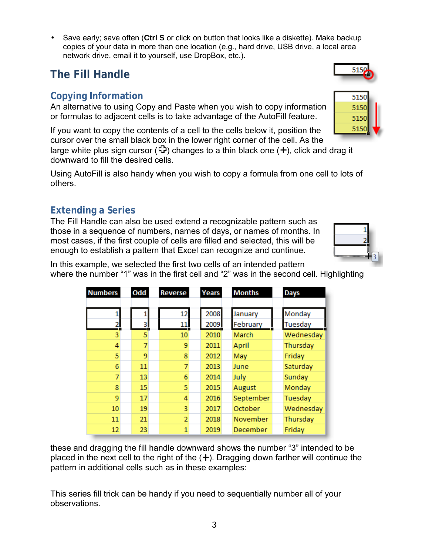Save early; save often (**Ctrl S** or click on button that looks like a diskette). Make backup copies of your data in more than one location (e.g., hard drive, USB drive, a local area network drive, email it to yourself, use DropBox, etc.).

### <span id="page-2-0"></span>**The Fill Handle**

### **Copying Information**

An alternative to using Copy and Paste when you wish to copy information or formulas to adjacent cells is to take advantage of the AutoFill feature.

If you want to copy the contents of a cell to the cells below it, position the cursor over the small black box in the lower right corner of the cell. As the

large white plus sign cursor ( $\bigoplus$ ) changes to a thin black one ( $+$ ), click and drag it downward to fill the desired cells.

Using AutoFill is also handy when you wish to copy a formula from one cell to lots of others.

### **Extending a Series**

The Fill Handle can also be used extend a recognizable pattern such as those in a sequence of numbers, names of days, or names of months. In most cases, if the first couple of cells are filled and selected, this will be enough to establish a pattern that Excel can recognize and continue.

In this example, we selected the first two cells of an intended pattern where the number "1" was in the first cell and "2" was in the second cell. Highlighting

| these and dragging the fill handle downward shows the number "3" intended to be             |
|---------------------------------------------------------------------------------------------|
| placed in the next cell to the right of the $(+)$ . Dragging down farther will continue the |
| pattern in additional cells such as in these examples:                                      |

This series fill trick can be handy if you need to sequentially number all of your observations.

| <b>Numbers</b> | Odd | Reverse                 | Years | Months    | Days      |
|----------------|-----|-------------------------|-------|-----------|-----------|
|                |     |                         |       |           |           |
|                |     | 12                      | 2008  | January   | Monday    |
| <u>2Į</u>      | 3   | 11                      | 2009  | February  | Tuesday   |
| 3              | 5   | 10                      | 2010  | March     | Wednesday |
| 4              | 7   | 9                       | 2011  | April     | Thursday  |
| 5              | 9   | 8                       | 2012  | May       | Friday    |
| 6              | 11  | 7                       | 2013  | June      | Saturday  |
| 7              | 13  | 6                       | 2014  | July      | Sunday    |
| 8              | 15  | 5                       | 2015  | August    | Monday    |
| 9              | 17  | 4                       | 2016  | September | Tuesday   |
| 10             | 19  | $\overline{\mathbf{3}}$ | 2017  | October   | Wednesday |
| 11             | 21  | $\overline{2}$          | 2018  | November  | Thursday  |
| 12             | 23  | 1                       | 2019  | December  | Friday    |



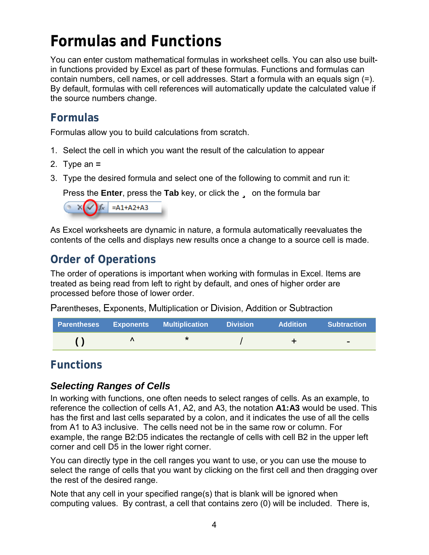# <span id="page-3-0"></span>**Formulas and Functions**

You can enter custom mathematical formulas in worksheet cells. You can also use builtin functions provided by Excel as part of these formulas. Functions and formulas can contain numbers, cell names, or cell addresses. Start a formula with an equals sign (=). By default, formulas with cell references will automatically update the calculated value if the source numbers change.

### <span id="page-3-1"></span>**Formulas**

Formulas allow you to build calculations from scratch.

- 1. Select the cell in which you want the result of the calculation to appear
- 2. Type an **=**
- 3. Type the desired formula and select one of the following to commit and run it:

Press the **Enter**, press the Tab key, or click the **u** on the formula bar



As Excel worksheets are dynamic in nature, a formula automatically reevaluates the contents of the cells and displays new results once a change to a source cell is made.

### <span id="page-3-2"></span>**Order of Operations**

The order of operations is important when working with formulas in Excel. Items are treated as being read from left to right by default, and ones of higher order are processed before those of lower order.

Parentheses, Exponents, Multiplication or Division, Addition or Subtraction

|  | <b>Parentheses Exponents Multiplication Division</b> | Addition | <b>Subtraction</b>       |
|--|------------------------------------------------------|----------|--------------------------|
|  |                                                      |          | $\overline{\phantom{a}}$ |

### <span id="page-3-3"></span>**Functions**

### *Selecting Ranges of Cells*

In working with functions, one often needs to select ranges of cells. As an example, to reference the collection of cells A1, A2, and A3, the notation **A1:A3** would be used. This has the first and last cells separated by a colon, and it indicates the use of all the cells from A1 to A3 inclusive. The cells need not be in the same row or column. For example, the range B2:D5 indicates the rectangle of cells with cell B2 in the upper left corner and cell D5 in the lower right corner.

You can directly type in the cell ranges you want to use, or you can use the mouse to select the range of cells that you want by clicking on the first cell and then dragging over the rest of the desired range.

Note that any cell in your specified range(s) that is blank will be ignored when computing values. By contrast, a cell that contains zero (0) will be included. There is,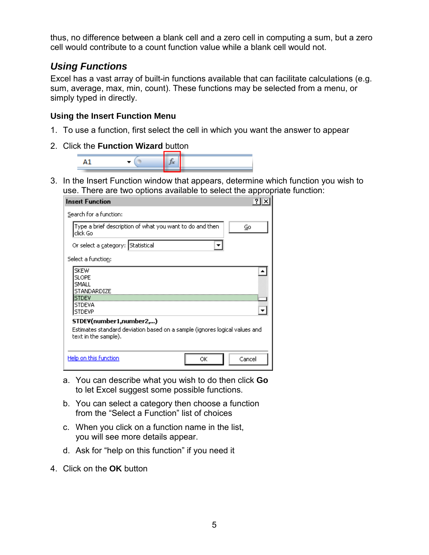thus, no difference between a blank cell and a zero cell in computing a sum, but a zero cell would contribute to a count function value while a blank cell would not.

### *Using Functions*

Excel has a vast array of built-in functions available that can facilitate calculations (e.g. sum, average, max, min, count). These functions may be selected from a menu, or simply typed in directly.

#### **Using the Insert Function Menu**

- 1. To use a function, first select the cell in which you want the answer to appear
- 2. Click the **Function Wizard** button



3. In the Insert Function window that appears, determine which function you wish to use. There are two options available to select the appropriate function:

| <b>Insert Function</b>                                                                                                           |        |
|----------------------------------------------------------------------------------------------------------------------------------|--------|
| Search for a function:                                                                                                           |        |
| Type a brief description of what you want to do and then<br>click Go                                                             | Go     |
| Or select a category: Statistical                                                                                                |        |
| Select a function:                                                                                                               |        |
| <b>SKEW</b><br><b>SLOPE</b><br>SMALL<br>STANDARDIZE<br><b>STDEV</b><br><b>STDEVA</b><br><b>STDEVP</b><br>STDEV(number1,number2,) |        |
| Estimates standard deviation based on a sample (ignores logical values and<br>text in the sample).                               |        |
| Help on this function<br>ОК                                                                                                      | Cancel |

- a. You can describe what you wish to do then click **Go** to let Excel suggest some possible functions.
- b. You can select a category then choose a function from the "Select a Function" list of choices
- c. When you click on a function name in the list, you will see more details appear.
- d. Ask for "help on this function" if you need it
- 4. Click on the **OK** button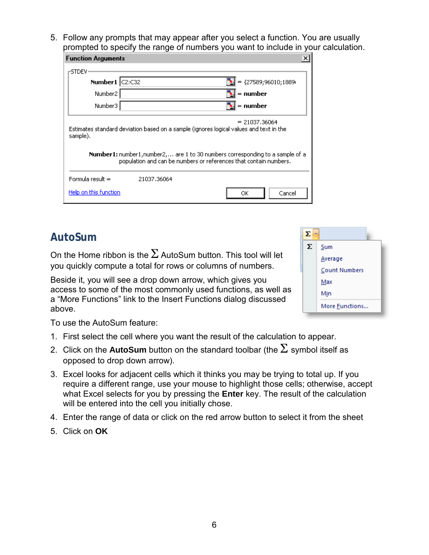5. Follow any prompts that may appear after you select a function. You are usually prompted to specify the range of numbers you want to include in your calculation.

| <b>Function Arguments</b>                                                                                                                                                                                                                                                   |             | ×                      |  |  |  |  |  |
|-----------------------------------------------------------------------------------------------------------------------------------------------------------------------------------------------------------------------------------------------------------------------------|-------------|------------------------|--|--|--|--|--|
| -STDEV·                                                                                                                                                                                                                                                                     |             |                        |  |  |  |  |  |
| Number1 C2:C32                                                                                                                                                                                                                                                              |             | = ${27589;96010;1889}$ |  |  |  |  |  |
| Number <sub>2</sub>                                                                                                                                                                                                                                                         |             | $=$ number             |  |  |  |  |  |
| Number3                                                                                                                                                                                                                                                                     |             | $=$ number             |  |  |  |  |  |
| $= 21037,36064$<br>Estimates standard deviation based on a sample (ignores logical values and text in the<br>sample).<br>Number1: number1, number2, are 1 to 30 numbers corresponding to a sample of a<br>population and can be numbers or references that contain numbers. |             |                        |  |  |  |  |  |
| Formula result =                                                                                                                                                                                                                                                            | 21037.36064 |                        |  |  |  |  |  |
| Help on this function                                                                                                                                                                                                                                                       |             | Cancel<br>ОК           |  |  |  |  |  |

### <span id="page-5-0"></span>**AutoSum**

On the Home ribbon is the  $\Sigma$  AutoSum button. This tool will let you quickly compute a total for rows or columns of numbers.

Beside it, you will see a drop down arrow, which gives you access to some of the most commonly used functions, as well as a "More Functions" link to the Insert Functions dialog discussed above.



To use the AutoSum feature:

- 1. First select the cell where you want the result of the calculation to appear.
- 2. Click on the **AutoSum** button on the standard toolbar (the  $\Sigma$  symbol itself as opposed to drop down arrow).
- 3. Excel looks for adjacent cells which it thinks you may be trying to total up. If you require a different range, use your mouse to highlight those cells; otherwise, accept what Excel selects for you by pressing the **Enter** key. The result of the calculation will be entered into the cell you initially chose.
- 4. Enter the range of data or click on the red arrow button to select it from the sheet
- 5. Click on **OK**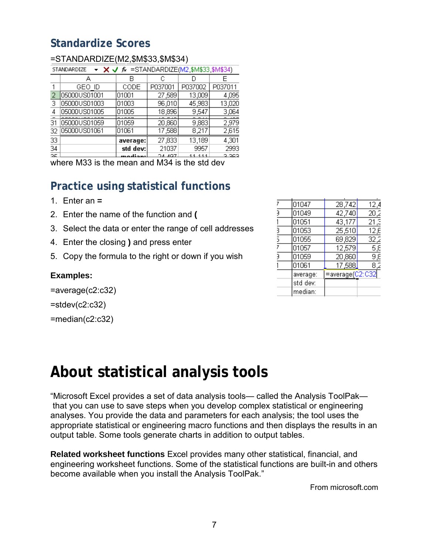### <span id="page-6-0"></span>**Standardize Scores**

|     | $\sim$ $\times$ $\sim$ $\kappa$ =STANDARDIZE(M2, \$M\$33 \$M\$34)<br>STANDARDIZE |          |         |         |               |  |  |  |  |  |
|-----|----------------------------------------------------------------------------------|----------|---------|---------|---------------|--|--|--|--|--|
|     |                                                                                  | В        | С       |         |               |  |  |  |  |  |
|     | GEO ID                                                                           | CODE     | P037001 | P037002 | P037011       |  |  |  |  |  |
| 2   | 05000US01001                                                                     | 01001    | 27,589  | 13,009  | 4,095         |  |  |  |  |  |
| З   | 05000US01003                                                                     | 01003    | 96,010  | 45,983  | 13,020        |  |  |  |  |  |
| 4   | 05000US01005                                                                     | 01005    | 18,896  | 9,547   | 3,064         |  |  |  |  |  |
| 31  | 05000US01059                                                                     | 01059    | 20,860  | 9,883   | ممدح<br>2,979 |  |  |  |  |  |
| 32  | 05000US01061                                                                     | 01061    | 17,588  | 8,217   | 2,615         |  |  |  |  |  |
| 33  |                                                                                  | average: | 27,833  | 13,189  | 4,301         |  |  |  |  |  |
| 34  |                                                                                  | std dev: | 21037   | 9957    | 2993          |  |  |  |  |  |
| DC. |                                                                                  | يممناهمد | ാചക്കു  | 11 111  | 2.202         |  |  |  |  |  |

#### =STANDARDIZE(M2,\$M\$33,\$M\$34)

<span id="page-6-1"></span>where M33 is the mean and M34 is the std dev

### **Practice using statistical functions**

- 1. Enter an **=**
- 2. Enter the name of the function and **(**
- 3. Select the data or enter the range of cell addresses
- 4. Enter the closing **)** and press enter
- 5. Copy the formula to the right or down if you wish

#### **Examples:**

=average(c2:c32)

 $=$ stdev(c2:c32)

<span id="page-6-2"></span>=median(c2:c32)

| 7             | 01047    | 28,742          | 12,4 |
|---------------|----------|-----------------|------|
| 3             | 01049    | 42,740          | 20,2 |
|               | 01051    | 43,177          | 21,3 |
| $\frac{3}{2}$ | 01053    | 25,510          | 12,E |
| 5             | 01055    | 69,829          | 32,2 |
| 7             | 01057    | 12,579          | 5,8  |
| Э             | 01059    | 20,860          | 9,8  |
|               | 01061    | 17,588          | 8,2  |
|               | average: | =average(C2:C32 |      |
|               | std dev: |                 |      |
|               | median:  |                 |      |

### **About statistical analysis tools**

"Microsoft Excel provides a set of data analysis tools— called the Analysis ToolPak that you can use to save steps when you develop complex statistical or engineering analyses. You provide the data and parameters for each analysis; the tool uses the appropriate statistical or engineering macro functions and then displays the results in an output table. Some tools generate charts in addition to output tables.

**Related worksheet functions** Excel provides many other statistical, financial, and engineering worksheet functions. Some of the statistical functions are built-in and others become available when you install the Analysis ToolPak."

From microsoft.com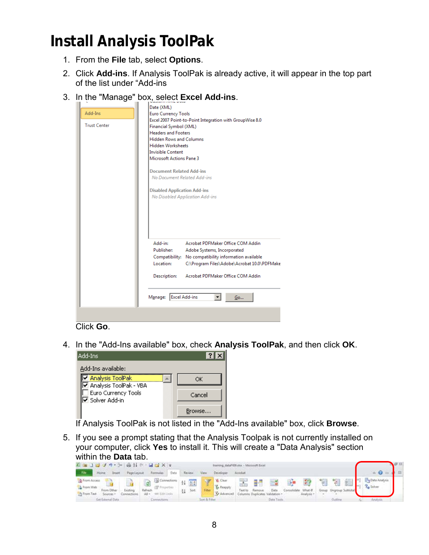# <span id="page-7-0"></span>**Install Analysis ToolPak**

- 1. From the **File** tab, select **Options**.
- 2. Click **Add-ins**. If Analysis ToolPak is already active, it will appear in the top part of the list under "Add-ins
- 3. In the "Manage" box, select **Excel Add-ins**.

| Add-Ins<br><b>Trust Center</b> | Date (XML)<br><b>Euro Currency Tools</b><br>Excel 2007 Point-to-Point Integration with GroupWise 8.0<br>Financial Symbol (XML)<br><b>Headers and Footers</b><br><b>Hidden Rows and Columns</b><br><b>Hidden Worksheets</b><br><b>Invisible Content</b><br><b>Microsoft Actions Pane 3</b><br><b>Document Related Add-ins</b><br>No Document Related Add-ins |
|--------------------------------|-------------------------------------------------------------------------------------------------------------------------------------------------------------------------------------------------------------------------------------------------------------------------------------------------------------------------------------------------------------|
|                                | <b>Disabled Application Add-ins</b><br>No Disabled Application Add-ins                                                                                                                                                                                                                                                                                      |
|                                | Add-in:<br>Acrobat PDFMaker Office COM Addin<br>Publisher:<br>Adobe Systems, Incorporated<br>No compatibility information available<br>Compatibility:<br>Location:<br>C:\Program Files\Adobe\Acrobat 10.0\PDFMake<br>Description:<br>Acrobat PDFMaker Office COM Addin                                                                                      |
|                                | <b>Excel Add-ins</b><br>Manage:<br>Go                                                                                                                                                                                                                                                                                                                       |

Click **Go**.

4. In the "Add-Ins available" box, check **Analysis ToolPak**, and then click **OK**.

| ? I X  |
|--------|
|        |
| ОК     |
| Cancel |
|        |
|        |

If Analysis ToolPak is not listed in the "Add-Ins available" box, click **Browse**.

5. If you see a prompt stating that the Analysis Toolpak is not currently installed on your computer, click **Yes** to install it. This will create a "Data Analysis" section within the **Data** tab.

| ■ ■ コロマウ シ   鼻引で - 目目×   ↓                                                                                  |             |                                                               |           |                        | training datal VOS.dux - Microsoft Excel |         |                                                  |                  |                                    |                  |    |                              |  |                                   | 無容 |
|-------------------------------------------------------------------------------------------------------------|-------------|---------------------------------------------------------------|-----------|------------------------|------------------------------------------|---------|--------------------------------------------------|------------------|------------------------------------|------------------|----|------------------------------|--|-----------------------------------|----|
| - File<br>Home<br><b>Shawn</b>                                                                              | Page Layout | Formulas Data                                                 | Review    | View                   | Developer:                               | Acrobat |                                                  |                  |                                    |                  |    |                              |  |                                   |    |
| <b>Ja From Access</b><br>From Web<br>Existing<br>From Other<br><b>Them Text</b><br>Sources -<br>Connections |             | Ginections 11<br><b>OP</b> Properties<br>All + use East Links | 图片<br>Son | Y<br>Filter            | Clear<br><b>L</b> Respuly<br>Advanced    | Teeto   | 器體<br>Remove.<br>Columns Duplicates Validation > | $\equiv$<br>Data | <b>List</b><br>Consolidate What-If | 一致<br>Analysis + | 門祖 | 沼脂<br>Group Ungroup Subtotal |  | Date Analysis<br><b>Za</b> Solver |    |
| Get External Data                                                                                           |             | Connections                                                   |           | <b>Son &amp; Fiber</b> |                                          |         |                                                  | Data Tools       |                                    |                  |    |                              |  | Analysis                          |    |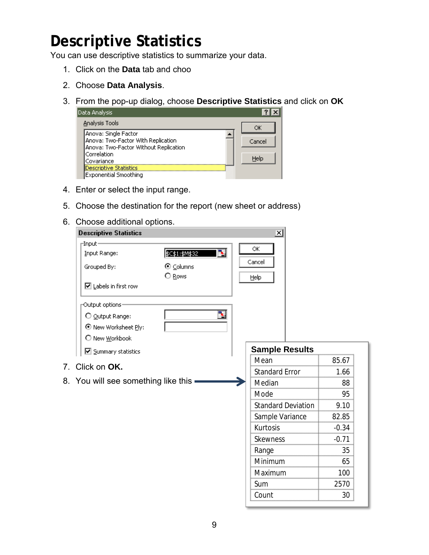# <span id="page-8-0"></span>**Descriptive Statistics**

You can use descriptive statistics to summarize your data.

- 1. Click on the **Data** tab and choo
- 2. Choose **Data Analysis**.
- 3. From the pop-up dialog, choose **Descriptive Statistics** and click on **OK**

| Data Analysis                         |        |
|---------------------------------------|--------|
| Analysis Tools                        | ОK     |
| Anova: Single Factor                  |        |
| Anova: Two-Factor With Replication    | Cancel |
| Anova: Two-Factor Without Replication |        |
| Correlation                           | Help   |
| Covariance                            |        |
| Descriptive Statistics                |        |
| Exponential Smoothing                 |        |

- 4. Enter or select the input range.
- 5. Choose the destination for the report (new sheet or address)
- 6. Choose additional options.

| <b>Descriptive Statistics</b>              |                      | ×                         |         |
|--------------------------------------------|----------------------|---------------------------|---------|
| $\Box$ Input-<br>Input Range:              | B.<br>\$C\$1:\$M\$32 | ОK                        |         |
| Grouped By:                                | ⊙ Columns<br>O Rows  | Cancel<br>Help            |         |
| $\boxed{\blacksquare}$ Labels in first row |                      |                           |         |
| Output options-<br>O Output Range:         | ъ.                   |                           |         |
| ⊙ New Worksheet Ply:<br>O New Workbook     |                      |                           |         |
| □ Summary statistics                       |                      | <b>Sample Results</b>     |         |
| Click on OK.                               |                      | Mean                      | 85.67   |
|                                            |                      | <b>Standard Error</b>     | 1.66    |
| 8. You will see something like this        |                      | Median                    | 88      |
|                                            |                      | Mode                      | 95      |
|                                            |                      | <b>Standard Deviation</b> | 9.10    |
|                                            |                      | Sample Variance           | 82.85   |
|                                            |                      | Kurtosis                  | $-0.34$ |
|                                            |                      | <b>Skewness</b>           | $-0.71$ |
|                                            |                      | Range                     | 35      |
|                                            |                      | Minimum                   | 65      |
|                                            |                      | Maximum                   | 100     |
|                                            |                      | Sum                       | 2570    |
|                                            |                      |                           |         |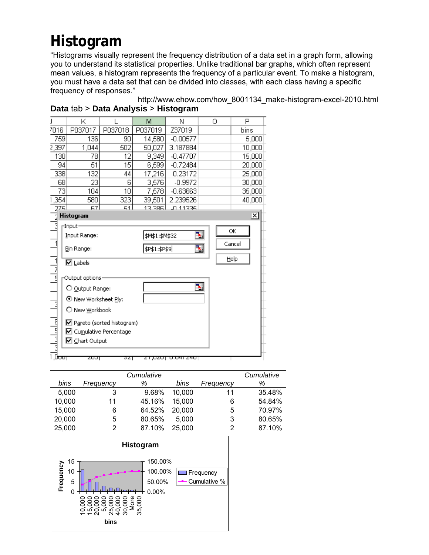# <span id="page-9-0"></span>**Histogram**

"Histograms visually represent the frequency distribution of a data set in a graph form, allowing you to understand its statistical properties. Unlike traditional bar graphs, which often represent mean values, a histogram represents the frequency of a particular event. To make a histogram, you must have a data set that can be divided into classes, with each class having a specific frequency of responses."

|           | Κ                           |         | М              | Ν                              | 0  | Ρ        |
|-----------|-----------------------------|---------|----------------|--------------------------------|----|----------|
| 7016      | P037017                     | P037018 | P037019        | Z37019                         |    | bins     |
| 759       | 136                         | 90      | 14,580         | $-0.00577$                     |    | 5,000    |
| 2,397     | 1,044                       | 502     | 50,027         | 3.187884                       |    | 10,000   |
|           | 78<br>12<br>130             |         | 9,349          | $-0.47707$                     |    | 15,000   |
| 94        | 51                          | 15      | 6,599          | $-0.72484$                     |    | 20,000   |
| 338       | 132                         | 44      | 17,216         | 0.23172                        |    | 25,000   |
| 68        | 23                          | 6       | 3,576          | $-0.9972$                      |    | 30,000   |
| 73        | 104                         | 10      | 7,578          | $-0.63663$                     |    | 35,000   |
| 1,354     | 580                         | 323     | 39,501         | 2.239526                       |    | 40,000   |
| 2751      | 67                          | 51.     | 13.386         | <b>JO 11335</b>                |    |          |
| ī         | Histogram                   |         |                |                                |    | $\times$ |
| वे        | -Input-                     |         |                |                                |    | ОK       |
|           | Input Range:                |         | \$M\$1:\$M\$32 |                                | 3. |          |
|           | Bin Range:                  |         | \$P\$1:\$P\$9  |                                | 围  | Cancel   |
| اكلياما   | $\nabla$ Labels             |         |                |                                |    | Help     |
|           |                             |         |                |                                |    |          |
|           | Output options:             |         |                |                                |    |          |
|           | O Output Range:             |         |                |                                | Ъ. |          |
|           | ⊙ New Worksheet Ply:        |         |                |                                |    |          |
| E         | O New Workbook              |         |                |                                |    |          |
| الململمات | ☑ Pareto (sorted histogram) |         |                |                                |    |          |
|           | ☑ Cumulative Percentage     |         |                |                                |    |          |
|           | ⊠ Chart Output              |         |                |                                |    |          |
|           |                             |         |                |                                |    |          |
| िज्ज      | टण्ग                        | ञ्या    |                | <del>21,020† 0.047.240</del> † |    |          |

http://www.ehow.com/how\_8001134\_make-histogram-excel-2010.html **Data** tab > **Data Analysis** > **Histogram**

|        |           | Cumulative |        |           | Cumulative |
|--------|-----------|------------|--------|-----------|------------|
| bins   | Frequency | ℅          | bins   | Frequency | %          |
| 5.000  | 3         | 9.68%      | 10.000 | 11        | 35.48%     |
| 10,000 | 11        | 45.16%     | 15,000 | 6         | 54.84%     |
| 15,000 | 6         | 64.52%     | 20,000 | 5         | 70.97%     |
| 20,000 | 5         | 80.65%     | 5.000  | 3         | 80.65%     |
| 25,000 | 2         | 87.10%     | 25,000 | 2         | 87.10%     |

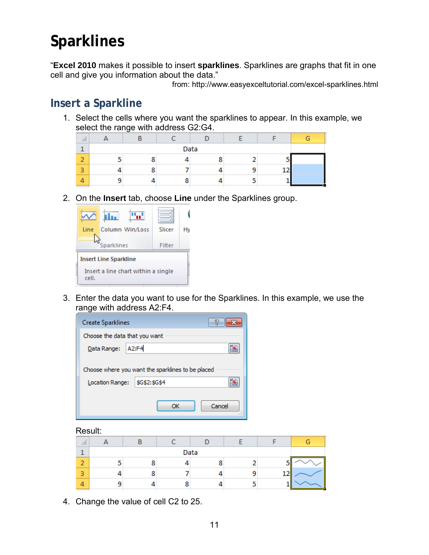# <span id="page-10-0"></span>**Sparklines**

"**Excel 2010** makes it possible to insert **sparklines**. Sparklines are graphs that fit in one cell and give you information about the data."

from: http://www.easyexceltutorial.com/excel-sparklines.html

### <span id="page-10-1"></span>**Insert a Sparkline**

1. Select the cells where you want the sparklines to appear. In this example, we select the range with address G2:G4.

|                          |   | Data |  |  |  |  |  |
|--------------------------|---|------|--|--|--|--|--|
| $\overline{\phantom{a}}$ | n |      |  |  |  |  |  |
| $\blacksquare$           | o |      |  |  |  |  |  |
|                          |   |      |  |  |  |  |  |

2. On the **Insert** tab, choose **Line** under the Sparklines group.



3. Enter the data you want to use for the Sparklines. In this example, we use the range with address A2:F4.

| <b>Create Sparklines</b>      |                                                   | 7      |
|-------------------------------|---------------------------------------------------|--------|
| Choose the data that you want |                                                   |        |
| Data Range:                   | A2:F4                                             |        |
|                               | Choose where you want the sparklines to be placed |        |
| Location Range:               | \$G\$2:\$G\$4                                     |        |
|                               | nĸ                                                | Cancel |

Result:

|                |  | Data |  |  |
|----------------|--|------|--|--|
| -              |  |      |  |  |
| $\overline{a}$ |  |      |  |  |
|                |  |      |  |  |

4. Change the value of cell C2 to 25.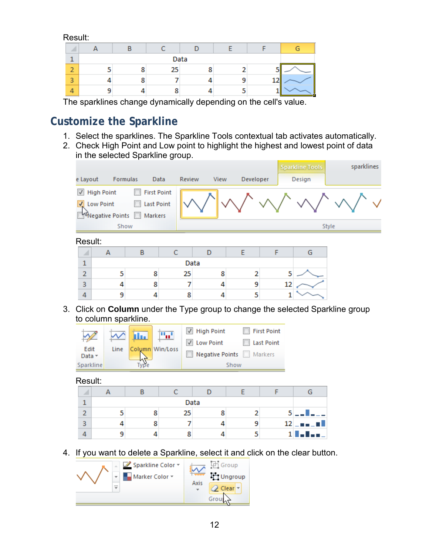Result:

|                |   | Data |  |  |
|----------------|---|------|--|--|
| $\blacksquare$ | ۰ | 25   |  |  |
| 3              | ο |      |  |  |
|                |   |      |  |  |

The sparklines change dynamically depending on the cell's value.

### <span id="page-11-0"></span>**Customize the Sparkline**

- 1. Select the sparklines. The Sparkline Tools contextual tab activates automatically.
- 2. Check High Point and Low point to highlight the highest and lowest point of data in the selected Sparkline group.

|                                    |                                                           |                                                    |                |      |                |   |    | <b>Sparkline Tools</b> | sparklines |
|------------------------------------|-----------------------------------------------------------|----------------------------------------------------|----------------|------|----------------|---|----|------------------------|------------|
| e Layout                           |                                                           | Formulas                                           | Data<br>Review | View | Developer      |   |    | Design                 |            |
| $\sqrt{ }$<br>$\blacktriangledown$ | <b>High Point</b><br>Low Point<br><b>WNegative Points</b> | <b>First Point</b><br><b>Last Point</b><br>Markers |                |      |                |   |    |                        |            |
|                                    |                                                           | Show                                               |                |      |                |   |    |                        | Style      |
| Result:                            |                                                           |                                                    |                |      |                |   |    |                        |            |
| ◢                                  | А                                                         | B                                                  | C              | D    | E              | F |    | G                      |            |
| $\mathbf{1}$                       |                                                           |                                                    |                | Data |                |   |    |                        |            |
| $\overline{2}$                     | 5                                                         | 8                                                  | 25             | 8    | $\overline{2}$ |   | 5  |                        |            |
| 3                                  | 4                                                         | 8                                                  | 7              | 4    | 9              |   | 12 |                        |            |
| 4                                  | 9                                                         | 4                                                  | 8              | 4    | 5              |   |    |                        |            |

3. Click on **Column** under the Type group to change the selected Sparkline group to column sparkline.

| <b>High Point</b><br>mat.<br>Hu.                    | <b>First Point</b>                    |
|-----------------------------------------------------|---------------------------------------|
| <b>Low Point</b><br>Edit<br>Column Win/Loss<br>Line | Last Point<br>Negative Points Markers |
| Data -<br>Sparkline                                 | Show                                  |

Result:

|   |   |    | Data |   |                    |
|---|---|----|------|---|--------------------|
|   | 8 | 25 |      | 5 | --                 |
| 3 | 8 |    |      |   | $12$ $    -$       |
|   |   | o  |      |   | $1$ $\blacksquare$ |

4. If you want to delete a Sparkline, select it and click on the clear button.

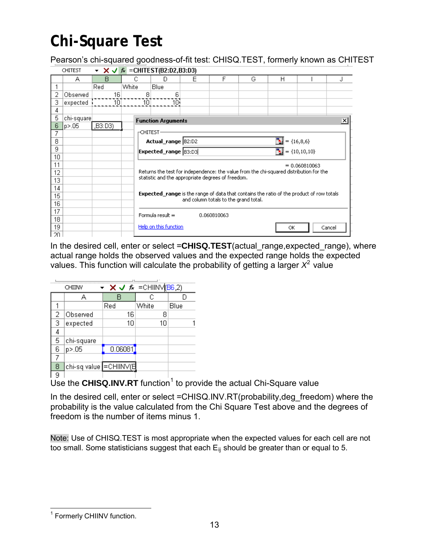# <span id="page-12-0"></span>**Chi-Square Test**

Pearson's chi-squared goodness-of-fit test: CHISQ.TEST, formerly known as CHITEST

|     | <b>CHITEST</b> |        | $\star$ $\star$ $\star$ $\downarrow$ $\star$ = CHITEST(B2:D2,B3:D3) |                           |   |                                                                                                                                             |   |    |                                                                        |        |
|-----|----------------|--------|---------------------------------------------------------------------|---------------------------|---|---------------------------------------------------------------------------------------------------------------------------------------------|---|----|------------------------------------------------------------------------|--------|
|     | А              | R      | С                                                                   | D                         | Е | F                                                                                                                                           | G | Н  |                                                                        |        |
|     |                | Red    | White                                                               | <b>Blue</b>               |   |                                                                                                                                             |   |    |                                                                        |        |
| 2   | Observed       | 16     | 8                                                                   | 6                         |   |                                                                                                                                             |   |    |                                                                        |        |
| з   | expected       | 10     | 10 <sup>1</sup>                                                     | 10i                       |   |                                                                                                                                             |   |    |                                                                        |        |
| 4   |                |        |                                                                     |                           |   |                                                                                                                                             |   |    |                                                                        |        |
| 5   | chi-square]    |        |                                                                     | <b>Function Arguments</b> |   |                                                                                                                                             |   |    |                                                                        | ×l     |
| 6   | p > 0.05       | ,B3:D3 |                                                                     |                           |   |                                                                                                                                             |   |    |                                                                        |        |
| 7   |                |        | $\mathsf{\Gamma}\mathsf{CHITEST}$                                   |                           |   |                                                                                                                                             |   |    |                                                                        |        |
| 8   |                |        |                                                                     | Actual_range  B2:D2       |   |                                                                                                                                             |   |    |                                                                        |        |
| 9   |                |        |                                                                     | Expected_range [83:D3]    |   |                                                                                                                                             |   |    | $\frac{1}{\sqrt{24}}$ = {16,8,6}<br>$\frac{1}{\sqrt{24}}$ = {10,10,10} |        |
| 10  |                |        |                                                                     |                           |   |                                                                                                                                             |   |    |                                                                        |        |
| 11  |                |        |                                                                     |                           |   |                                                                                                                                             |   |    | $= 0.060810063$                                                        |        |
| 12  |                |        |                                                                     |                           |   | Returns the test for independence: the value from the chi-squared distribution for the<br>statistic and the appropriate degrees of freedom. |   |    |                                                                        |        |
| 13  |                |        |                                                                     |                           |   |                                                                                                                                             |   |    |                                                                        |        |
| 14  |                |        |                                                                     |                           |   | <b>Expected_range</b> is the range of data that contains the ratio of the product of row totals                                             |   |    |                                                                        |        |
| 15  |                |        |                                                                     |                           |   | and column totals to the grand total.                                                                                                       |   |    |                                                                        |        |
| 16  |                |        |                                                                     |                           |   |                                                                                                                                             |   |    |                                                                        |        |
| 17  |                |        |                                                                     | Formula result $=$        |   | 0.060810063                                                                                                                                 |   |    |                                                                        |        |
| 18  |                |        |                                                                     |                           |   |                                                                                                                                             |   |    |                                                                        |        |
| 19  |                |        |                                                                     | Help on this function     |   |                                                                                                                                             |   | ОК |                                                                        | Cancel |
| 20. |                |        |                                                                     |                           |   |                                                                                                                                             |   |    |                                                                        |        |

In the desired cell, enter or select =**CHISQ.TEST**(actual\_range,expected\_range), where actual range holds the observed values and the expected range holds the expected values. This function will calculate the probability of getting a larger  $X^2$  value

|   | CHIINV                  | $\bullet$ X V $\approx$ =CHIINV(B6,2) |       |      |
|---|-------------------------|---------------------------------------|-------|------|
|   | д                       | R                                     | С     |      |
|   |                         | Red                                   | White | Blue |
| 2 | Observed                | 16                                    | 8     |      |
| з | expected                | 10                                    | 10    |      |
| 4 |                         |                                       |       |      |
| 5 | chi-square              |                                       |       |      |
| 6 | p>.05                   | 0.06081]                              |       |      |
|   |                         |                                       |       |      |
| 8 | chi-sq value  =CHIINV(E |                                       |       |      |
| a |                         |                                       |       | 4    |

Use the **CHISQ.INV.RT** function<sup>[1](#page-12-1)</sup> to provide the actual Chi-Square value

In the desired cell, enter or select = CHISQ.INV.RT(probability, deg\_freedom) where the probability is the value calculated from the Chi Square Test above and the degrees of freedom is the number of items minus 1.

Note: Use of CHISQ.TEST is most appropriate when the expected values for each cell are not too small. Some statisticians suggest that each  $E_{ii}$  should be greater than or equal to 5.

<span id="page-12-1"></span> $\overline{a}$ <sup>1</sup> Formerly CHIINV function.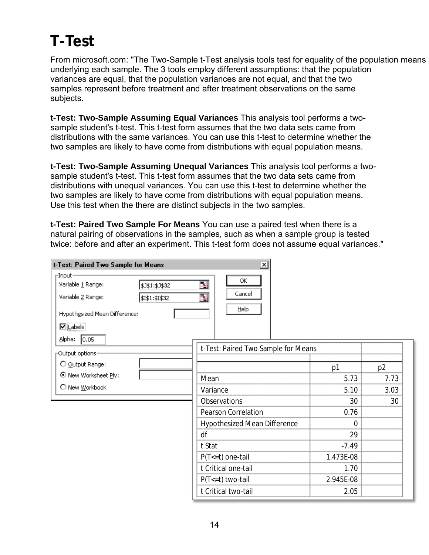# <span id="page-13-0"></span>**T-Test**

From microsoft.com: "The Two-Sample t-Test analysis tools test for equality of the population means underlying each sample. The 3 tools employ different assumptions: that the population variances are equal, that the population variances are not equal, and that the two samples represent before treatment and after treatment observations on the same subjects.

**t-Test: Two-Sample Assuming Equal Variances** This analysis tool performs a twosample student's t-test. This t-test form assumes that the two data sets came from distributions with the same variances. You can use this t-test to determine whether the two samples are likely to have come from distributions with equal population means.

**t-Test: Two-Sample Assuming Unequal Variances** This analysis tool performs a twosample student's t-test. This t-test form assumes that the two data sets came from distributions with unequal variances. You can use this t-test to determine whether the two samples are likely to have come from distributions with equal population means. Use this test when the there are distinct subjects in the two samples.

**t-Test: Paired Two Sample For Means** You can use a paired test when there is a natural pairing of observations in the samples, such as when a sample group is tested twice: before and after an experiment. This t-test form does not assume equal variances."

| t-Test: Paired Two Sample for Means | ∣×∣                                 |                |      |
|-------------------------------------|-------------------------------------|----------------|------|
| -Input-                             |                                     |                |      |
| Variable 1 Range:<br>\$J\$1:\$J\$32 | ОК<br>3.                            |                |      |
| Variable 2 Range:<br>\$I\$1:\$I\$32 | Cancel<br>N                         |                |      |
| Hypothesized Mean Difference:       | Help                                |                |      |
| $\n  Q$ $\boxed{\text{cables}}$     |                                     |                |      |
| <u>A</u> lpha:<br> 0.05             |                                     |                |      |
| Output options-                     | t-Test: Paired Two Sample for Means |                |      |
| O Output Range:                     |                                     | p <sub>1</sub> | p2   |
| ⊙ New Worksheet Ply:                | Mean                                | 5.73           | 7.73 |
| O New Workbook                      | Variance                            | 5.10           | 3.03 |
|                                     | <b>Observations</b>                 | 30             | 30   |
|                                     | Pearson Correlation                 | 0.76           |      |
|                                     | Hypothesized Mean Difference        | $\overline{0}$ |      |
|                                     | df                                  | 29             |      |
|                                     | t Stat                              | $-7.49$        |      |
|                                     | $P(T \le t)$ one-tail               | 1.473E-08      |      |
|                                     | t Critical one-tail                 | 1.70           |      |
|                                     | $P(T \le t)$ two-tail               | 2.945E-08      |      |
|                                     | t Critical two-tail                 | 2.05           |      |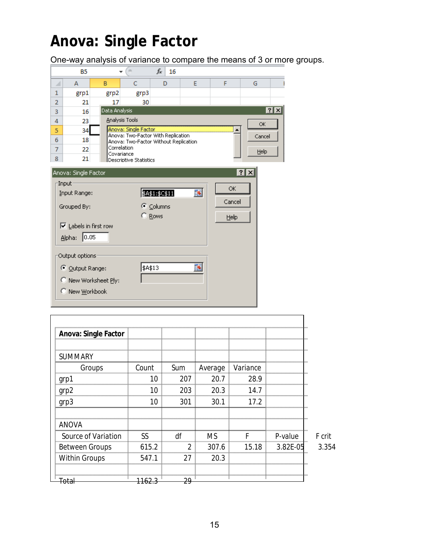# <span id="page-14-0"></span>**Anova: Single Factor**

Total 1162.3 29

One-way analysis of variance to compare the means of 3 or more groups.

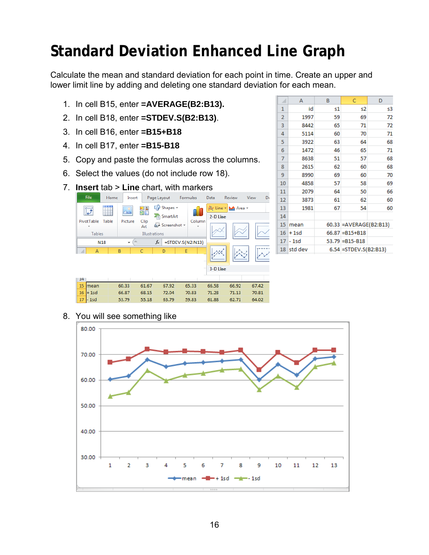# <span id="page-15-0"></span>**Standard Deviation Enhanced Line Graph**

Calculate the mean and standard deviation for each point in time. Create an upper and lower limit line by adding and deleting one standard deviation for each mean.

- 1. In cell B15, enter **=AVERAGE(B2:B13).**
- 2. In cell B18, enter **=STDEV.S(B2:B13)**.
- 3. In cell B16, enter **=B15+B18**
- 4. In cell B17, enter **=B15-B18**
- 5. Copy and paste the formulas across the columns.
- 6. Select the values (do not include row 18).
- 7. **Insert** tab > **Line** chart, with markers



| ⊿              | A       | B  | C                        | D  |
|----------------|---------|----|--------------------------|----|
| 1              | id      | s1 | s2                       | s3 |
| $\overline{2}$ | 1997    | 59 | 69                       | 72 |
| 3              | 8442    | 65 | 71                       | 72 |
| 4              | 5114    | 60 | 70                       | 71 |
| 5              | 3922    | 63 | 64                       | 68 |
| 6              | 1472    | 46 | 65                       | 71 |
| 7              | 8638    | 51 | 57                       | 68 |
| 8              | 2615    | 62 | 60                       | 68 |
| 9              | 8990    | 69 | 60                       | 70 |
| 10             | 4858    | 57 | 58                       | 69 |
| 11             | 2079    | 64 | 50                       | 66 |
| 12             | 3873    | 61 | 62                       | 60 |
| 13             | 1981    | 67 | 54                       | 60 |
| 14             |         |    |                          |    |
| 15             | mean    |    | 60.33 = AVERAGE (B2:B13) |    |
| 16             | $+1$ sd |    | $66.87 = B15 + B18$      |    |
| 17             | - 1sd   |    | $53.79 = B15 - B18$      |    |
| 18             | std dev |    | 6.54 = STDEV.S(B2:B13)   |    |

8. You will see something like

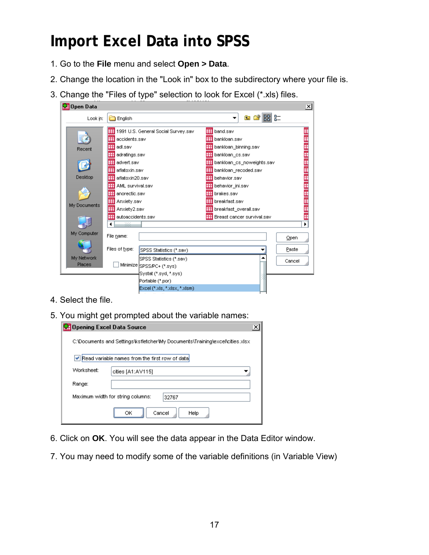# <span id="page-16-0"></span>**Import Excel Data into SPSS**

- 1. Go to the **File** menu and select **Open > Data**.
- 2. Change the location in the "Look in" box to the subdirectory where your file is.
- 3. Change the "Files of type" selection to look for Excel (\*.xls) files.

| <b>M</b> Open Data                                                       |                                                                                                                                                                                                                                                                              |                                                                                                                        |                                                                                                                                                       |                                                                                                                                                                |                         | ⊠ |
|--------------------------------------------------------------------------|------------------------------------------------------------------------------------------------------------------------------------------------------------------------------------------------------------------------------------------------------------------------------|------------------------------------------------------------------------------------------------------------------------|-------------------------------------------------------------------------------------------------------------------------------------------------------|----------------------------------------------------------------------------------------------------------------------------------------------------------------|-------------------------|---|
| Look in:                                                                 | English                                                                                                                                                                                                                                                                      |                                                                                                                        |                                                                                                                                                       | <b>BB</b> B=<br>白び                                                                                                                                             |                         |   |
| Recent<br>Desktop<br>My Documents<br>My Computer<br>My Network<br>Places | 囲<br>⊞<br>accidents.sav<br>⊞ adl.sav<br>囲<br>adratings.sav<br><b>⊞</b> advert.sav<br>aflatoxin.sav<br>aflatoxin20.sav<br>AML survival.sav<br>囲<br>⊞<br>anorectic.sav<br>⊞<br>Anxiety.sav<br>囲<br>Anxiety2.sav<br>autoaccidents.sav<br>٠<br>æ<br>File name:<br>Files of type: | 1991 U.S. General Social Survey.sav<br>SPSS Statistics (*.sav)<br>SPSS Statistics (*.sav)<br>Minimize SPSS/PC+ (*.sys) | ⊞<br>band.sav<br><b>ED</b> bankloan.sav<br>⊞ bankloan_cs.sav<br><b>THE</b> behavior.sav<br>behavior ini.sav<br>⊞ brakes.sav<br><b>H</b> breakfast.sav | <b>⊞ bankloan_binning.sav</b><br>bankloan_cs_noweights.sav<br><b>Hill</b> bankloan_recoded.sav<br>breakfast_overall.sav<br><b>H</b> Breast cancer survival.sav | Open<br>Paste<br>Cancel | ▶ |
|                                                                          |                                                                                                                                                                                                                                                                              | Systat (*.syd, *.sys)<br>Portable (*.por)<br>Excel (*.xls, *.xlsx, *.xlsm)                                             |                                                                                                                                                       |                                                                                                                                                                |                         |   |
|                                                                          |                                                                                                                                                                                                                                                                              |                                                                                                                        |                                                                                                                                                       |                                                                                                                                                                |                         |   |

- 4. Select the file.
- 5. You might get prompted about the variable names:

| Opening Excel Data Source                                                    |                                                |  |  |  |  |
|------------------------------------------------------------------------------|------------------------------------------------|--|--|--|--|
| C:\Documents and Settings\ksfletcher\My Documents\Training\excel\cities.xlsx |                                                |  |  |  |  |
|                                                                              | Read variable names from the first row of data |  |  |  |  |
| Worksheet:<br>cities [A1:AV115]                                              |                                                |  |  |  |  |
| Range:                                                                       |                                                |  |  |  |  |
| Maximum width for string columns:<br>32767                                   |                                                |  |  |  |  |
|                                                                              | ОК<br>Cancel<br>Help                           |  |  |  |  |

- 6. Click on **OK**. You will see the data appear in the Data Editor window.
- 7. You may need to modify some of the variable definitions (in Variable View)